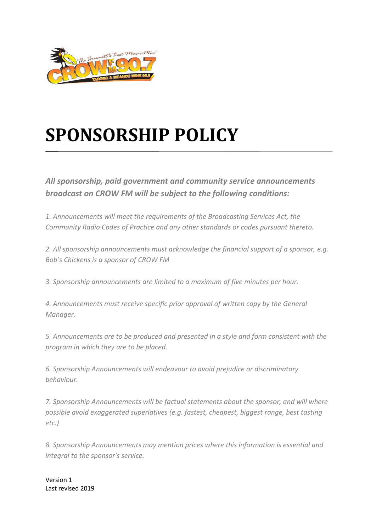

## **SPONSORSHIP POLICY**

*All sponsorship, paid government and community service announcements broadcast on CROW FM will be subject to the following conditions:*

*1. Announcements will meet the requirements of the Broadcasting Services Act, the Community Radio Codes of Practice and any other standards or codes pursuant thereto.*

*2. All sponsorship announcements must acknowledge the financial support of a sponsor, e.g. Bob's Chickens is a sponsor of CROW FM*

*3. Sponsorship announcements are limited to a maximum of five minutes per hour.*

*4. Announcements must receive specific prior approval of written copy by the General Manager.*

*5. Announcements are to be produced and presented in a style and form consistent with the program in which they are to be placed.*

*6. Sponsorship Announcements will endeavour to avoid prejudice or discriminatory behaviour.*

*7. Sponsorship Announcements will be factual statements about the sponsor, and will where possible avoid exaggerated superlatives (e.g. fastest, cheapest, biggest range, best tasting etc.)*

*8. Sponsorship Announcements may mention prices where this information is essential and integral to the sponsor's service.* 

Version 1 Last revised 2019